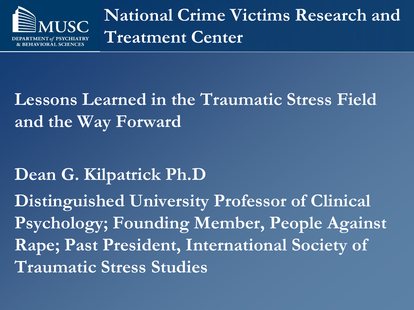

**National Crime Victims Research and Treatment Center**

### **Lessons Learned in the Traumatic Stress Field and the Way Forward**

#### **Dean G. Kilpatrick Ph.D**

**Distinguished University Professor of Clinical Psychology; Founding Member, People Against Rape; Past President, International Society of Traumatic Stress Studies**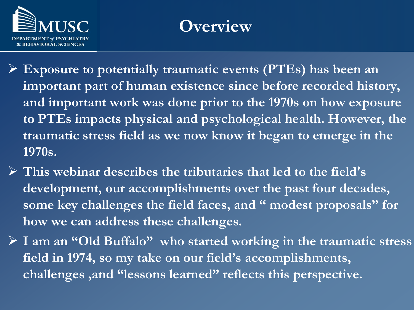

#### **Overview**

- **Exposure to potentially traumatic events (PTEs) has been an important part of human existence since before recorded history, and important work was done prior to the 1970s on how exposure to PTEs impacts physical and psychological health. However, the traumatic stress field as we now know it began to emerge in the 1970s.**
- **This webinar describes the tributaries that led to the field's development, our accomplishments over the past four decades, some key challenges the field faces, and " modest proposals" for how we can address these challenges.**
- **I am an "Old Buffalo" who started working in the traumatic stress field in 1974, so my take on our field's accomplishments, challenges ,and "lessons learned" reflects this perspective.**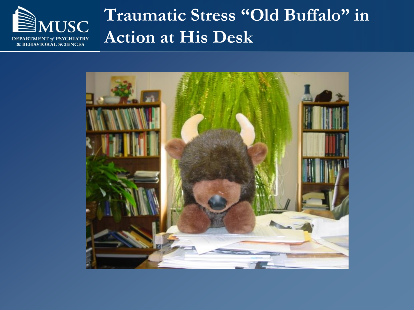

#### **Traumatic Stress "Old Buffalo" in Action at His Desk**

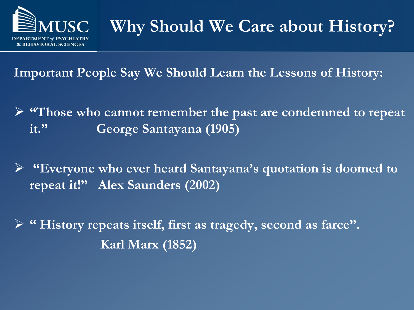

### **Why Should We Care about History?**

**Important People Say We Should Learn the Lessons of History:** 

- **"Those who cannot remember the past are condemned to repeat it." George Santayana (1905)**
- **"Everyone who ever heard Santayana's quotation is doomed to repeat it!" Alex Saunders (2002)**
- **" History repeats itself, first as tragedy, second as farce". Karl Marx (1852)**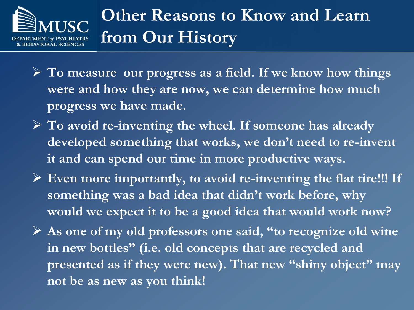### **Other Reasons to Know and Learn from Our History**

- **To measure our progress as a field. If we know how things were and how they are now, we can determine how much progress we have made.**
- **To avoid re-inventing the wheel. If someone has already developed something that works, we don't need to re-invent it and can spend our time in more productive ways.**
- **Even more importantly, to avoid re-inventing the flat tire!!! If something was a bad idea that didn't work before, why would we expect it to be a good idea that would work now?**
- **As one of my old professors one said, "to recognize old wine in new bottles" (i.e. old concepts that are recycled and presented as if they were new). That new "shiny object" may not be as new as you think!**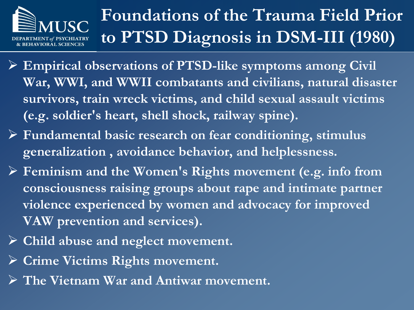

# **Foundations of the Trauma Field Prior to PTSD Diagnosis in DSM-III (1980)**

- **Empirical observations of PTSD-like symptoms among Civil War, WWI, and WWII combatants and civilians, natural disaster survivors, train wreck victims, and child sexual assault victims (e.g. soldier's heart, shell shock, railway spine).**
- **Fundamental basic research on fear conditioning, stimulus generalization , avoidance behavior, and helplessness.**
- **Feminism and the Women's Rights movement (e.g. info from consciousness raising groups about rape and intimate partner violence experienced by women and advocacy for improved VAW prevention and services).**
- **Child abuse and neglect movement.**
- **Crime Victims Rights movement.**
- **The Vietnam War and Antiwar movement.**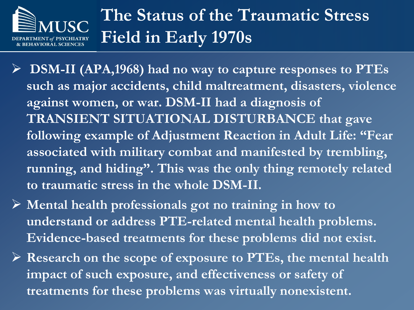### **The Status of the Traumatic Stress Field in Early 1970s**

 **DSM-II (APA,1968) had no way to capture responses to PTEs such as major accidents, child maltreatment, disasters, violence against women, or war. DSM-II had a diagnosis of TRANSIENT SITUATIONAL DISTURBANCE that gave following example of Adjustment Reaction in Adult Life: "Fear associated with military combat and manifested by trembling, running, and hiding". This was the only thing remotely related to traumatic stress in the whole DSM-II.**

 **Mental health professionals got no training in how to understand or address PTE-related mental health problems. Evidence-based treatments for these problems did not exist.**

 **Research on the scope of exposure to PTEs, the mental health impact of such exposure, and effectiveness or safety of treatments for these problems was virtually nonexistent.**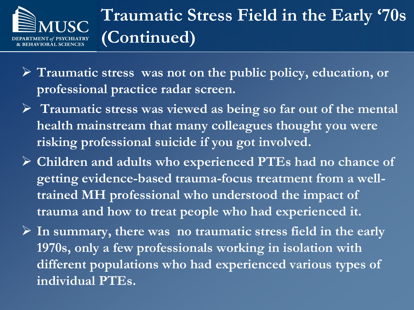

### **Traumatic Stress Field in the Early '70s (Continued)**

- **Traumatic stress was not on the public policy, education, or professional practice radar screen.**
- **Traumatic stress was viewed as being so far out of the mental health mainstream that many colleagues thought you were risking professional suicide if you got involved.**
- **Children and adults who experienced PTEs had no chance of getting evidence-based trauma-focus treatment from a welltrained MH professional who understood the impact of trauma and how to treat people who had experienced it.**
- **In summary, there was no traumatic stress field in the early 1970s, only a few professionals working in isolation with different populations who had experienced various types of individual PTEs.**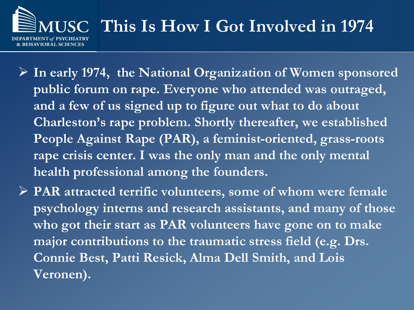# **This Is How I Got Involved in 1974 HAVIORAL SCIENCES**

- **In early 1974, the National Organization of Women sponsored public forum on rape. Everyone who attended was outraged, and a few of us signed up to figure out what to do about Charleston's rape problem. Shortly thereafter, we established People Against Rape (PAR), a feminist-oriented, grass-roots rape crisis center. I was the only man and the only mental health professional among the founders.**
- **PAR attracted terrific volunteers, some of whom were female psychology interns and research assistants, and many of those who got their start as PAR volunteers have gone on to make major contributions to the traumatic stress field (e.g. Drs. Connie Best, Patti Resick, Alma Dell Smith, and Lois Veronen).**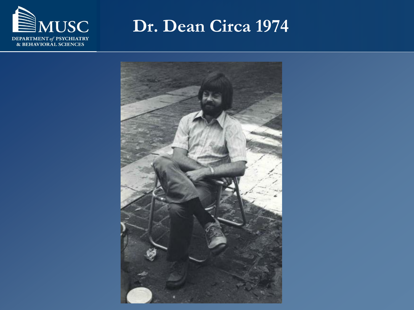

**Dr. Dean Circa 1974** 

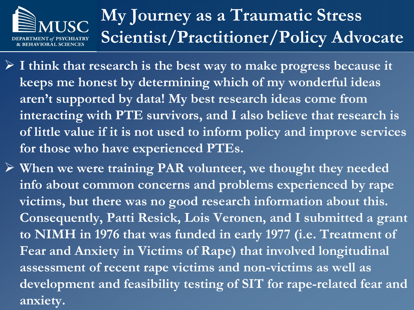# **My Journey as a Traumatic Stress Scientist/Practitioner/Policy Advocate**

- **I think that research is the best way to make progress because it keeps me honest by determining which of my wonderful ideas aren't supported by data! My best research ideas come from interacting with PTE survivors, and I also believe that research is of little value if it is not used to inform policy and improve services for those who have experienced PTEs.**
- **When we were training PAR volunteer, we thought they needed info about common concerns and problems experienced by rape victims, but there was no good research information about this. Consequently, Patti Resick, Lois Veronen, and I submitted a grant to NIMH in 1976 that was funded in early 1977 (i.e. Treatment of Fear and Anxiety in Victims of Rape) that involved longitudinal assessment of recent rape victims and non-victims as well as development and feasibility testing of SIT for rape-related fear and anxiety.**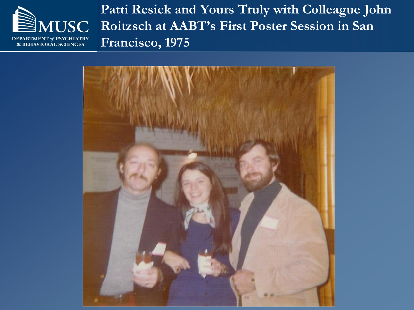

**Patti Resick and Yours Truly with Colleague John Roitzsch at AABT's First Poster Session in San Francisco, 1975**

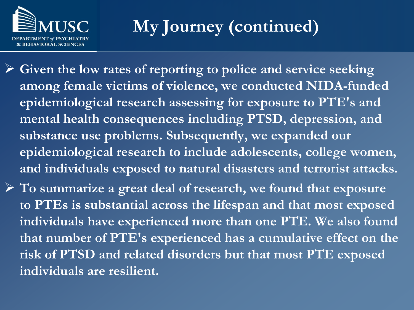

**My Journey (continued)**

- **Given the low rates of reporting to police and service seeking among female victims of violence, we conducted NIDA-funded epidemiological research assessing for exposure to PTE's and mental health consequences including PTSD, depression, and substance use problems. Subsequently, we expanded our epidemiological research to include adolescents, college women, and individuals exposed to natural disasters and terrorist attacks.**
- **To summarize a great deal of research, we found that exposure to PTEs is substantial across the lifespan and that most exposed individuals have experienced more than one PTE. We also found that number of PTE's experienced has a cumulative effect on the risk of PTSD and related disorders but that most PTE exposed individuals are resilient.**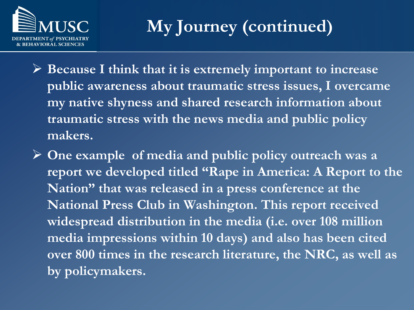

**My Journey (continued)**

- **Because I think that it is extremely important to increase public awareness about traumatic stress issues, I overcame my native shyness and shared research information about traumatic stress with the news media and public policy makers.**
- **One example of media and public policy outreach was a report we developed titled "Rape in America: A Report to the Nation" that was released in a press conference at the National Press Club in Washington. This report received widespread distribution in the media (i.e. over 108 million media impressions within 10 days) and also has been cited over 800 times in the research literature, the NRC, as well as by policymakers.**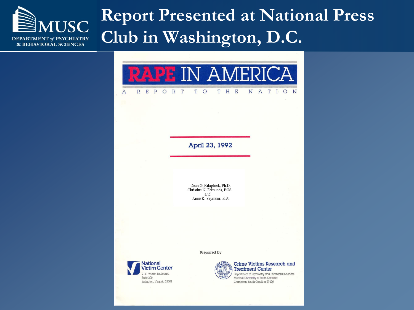#### **IUSC** DEPARTMENT of PSYCHIATRY **& BEHAVIORAL SCIENCES**

#### **Report Presented at National Press Club in Washington, D.C.**

T H E



T O

April 23, 1992

Dean G. Kilaptrick, Ph.D. Christine N. Edmunds, BGS and Anne K. Seymour, B.A.

Prepared by

**National** Victim Center 2111 Wilson Boulevard Suite 300 Arlington, Virginia 22201

 $\mathbf{A}$ 

 $R$   $E$  $\mathbf{P}$  OR T



Crime Victims Research and **Treatment Center** 

N A T I O N

Department of Psychiatry and Behavioral Sciences Medical University of South Carolina Charleston, South Carolina 29425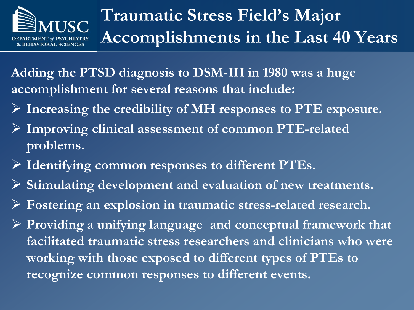

# **Traumatic Stress Field's Major Accomplishments in the Last 40 Years**

**Adding the PTSD diagnosis to DSM-III in 1980 was a huge accomplishment for several reasons that include:** 

- **Increasing the credibility of MH responses to PTE exposure.**
- **Improving clinical assessment of common PTE-related problems.**
- **Identifying common responses to different PTEs.**
- **Stimulating development and evaluation of new treatments.**
- **Fostering an explosion in traumatic stress-related research.**
- **Providing a unifying language and conceptual framework that facilitated traumatic stress researchers and clinicians who were working with those exposed to different types of PTEs to recognize common responses to different events.**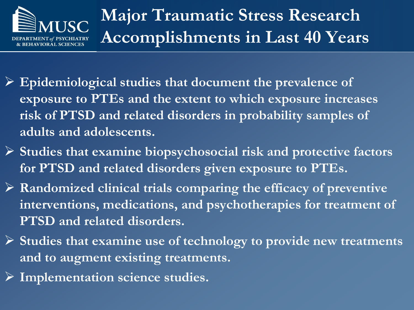

- **Epidemiological studies that document the prevalence of exposure to PTEs and the extent to which exposure increases risk of PTSD and related disorders in probability samples of adults and adolescents.**
- **Studies that examine biopsychosocial risk and protective factors for PTSD and related disorders given exposure to PTEs.**
- **Randomized clinical trials comparing the efficacy of preventive interventions, medications, and psychotherapies for treatment of PTSD and related disorders.**
- **Studies that examine use of technology to provide new treatments and to augment existing treatments.**
- **Implementation science studies.**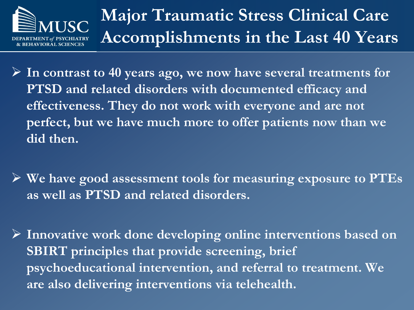

**Major Traumatic Stress Clinical Care Accomplishments in the Last 40 Years**

 **In contrast to 40 years ago, we now have several treatments for PTSD and related disorders with documented efficacy and effectiveness. They do not work with everyone and are not perfect, but we have much more to offer patients now than we did then.**

 **We have good assessment tools for measuring exposure to PTEs as well as PTSD and related disorders.**

 **Innovative work done developing online interventions based on SBIRT principles that provide screening, brief psychoeducational intervention, and referral to treatment. We are also delivering interventions via telehealth.**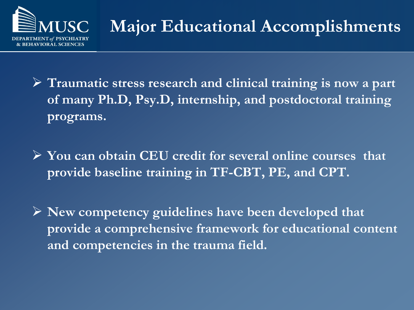

- **Traumatic stress research and clinical training is now a part of many Ph.D, Psy.D, internship, and postdoctoral training programs.**
- **You can obtain CEU credit for several online courses that provide baseline training in TF-CBT, PE, and CPT.**
- **New competency guidelines have been developed that provide a comprehensive framework for educational content and competencies in the trauma field.**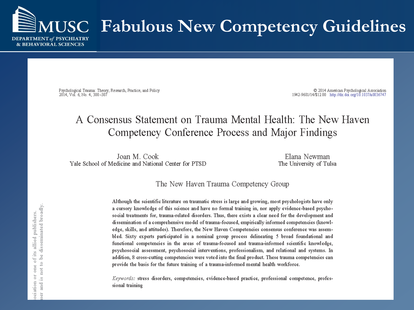

Psychological Trauma: Theory, Research, Practice, and Policy 2014, Vol. 6, No. 4, 300-307

C 2014 American Psychological Association 1942-9681/14/\$12.00 http://dx.doi.org/10.1037/a0036747

#### A Consensus Statement on Trauma Mental Health: The New Haven Competency Conference Process and Major Findings

Joan M. Cook Yale School of Medicine and National Center for PTSD

Elana Newman The University of Tulsa

#### The New Haven Trauma Competency Group

Although the scientific literature on traumatic stress is large and growing, most psychologists have only a cursory knowledge of this science and have no formal training in, nor apply evidence-based psychosocial treatments for, trauma-related disorders. Thus, there exists a clear need for the development and dissemination of a comprehensive model of trauma-focused, empirically informed competencies (knowledge, skills, and attitudes). Therefore, the New Haven Competencies consensus conference was assembled. Sixty experts participated in a nominal group process delineating 5 broad foundational and functional competencies in the areas of trauma-focused and trauma-informed scientific knowledge, psychosocial assessment, psychosocial interventions, professionalism, and relational and systems. In addition, 8 cross-cutting competencies were voted into the final product. These trauma competencies can provide the basis for the future training of a trauma-informed mental health workforce.

Keywords: stress disorders, competencies, evidence-based practice, professional competence, professional training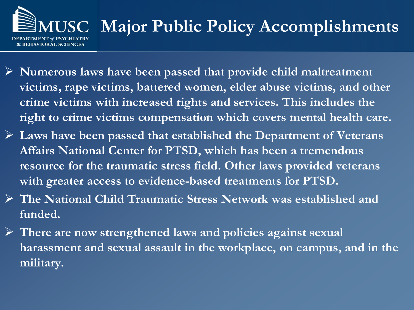# **MUSC Major Public Policy Accomplishments**

- **Numerous laws have been passed that provide child maltreatment victims, rape victims, battered women, elder abuse victims, and other crime victims with increased rights and services. This includes the right to crime victims compensation which covers mental health care.**
- **Laws have been passed that established the Department of Veterans Affairs National Center for PTSD, which has been a tremendous resource for the traumatic stress field. Other laws provided veterans with greater access to evidence-based treatments for PTSD.**
- **The National Child Traumatic Stress Network was established and funded.**
- **There are now strengthened laws and policies against sexual harassment and sexual assault in the workplace, on campus, and in the military.**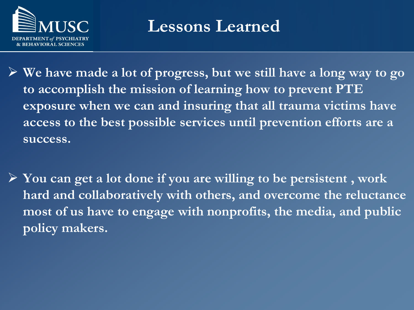

#### **Lessons Learned**

 **We have made a lot of progress, but we still have a long way to go to accomplish the mission of learning how to prevent PTE exposure when we can and insuring that all trauma victims have access to the best possible services until prevention efforts are a success.**

 **You can get a lot done if you are willing to be persistent , work hard and collaboratively with others, and overcome the reluctance most of us have to engage with nonprofits, the media, and public policy makers.**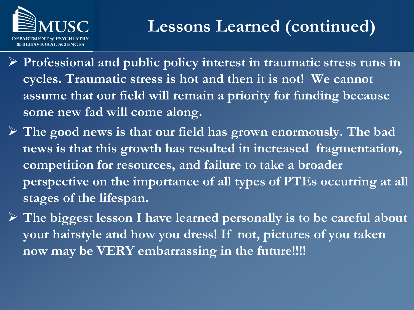

- **Professional and public policy interest in traumatic stress runs in cycles. Traumatic stress is hot and then it is not! We cannot assume that our field will remain a priority for funding because some new fad will come along.**
- **The good news is that our field has grown enormously. The bad news is that this growth has resulted in increased fragmentation, competition for resources, and failure to take a broader perspective on the importance of all types of PTEs occurring at all stages of the lifespan.**
- **The biggest lesson I have learned personally is to be careful about your hairstyle and how you dress! If not, pictures of you taken now may be VERY embarrassing in the future!!!!**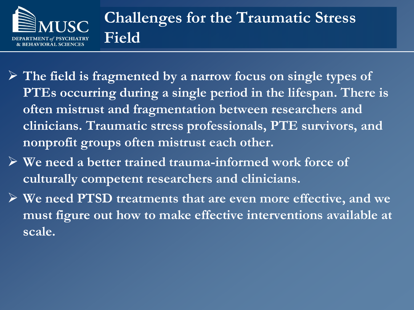

#### **Challenges for the Traumatic Stress Field**

- **The field is fragmented by a narrow focus on single types of PTEs occurring during a single period in the lifespan. There is often mistrust and fragmentation between researchers and clinicians. Traumatic stress professionals, PTE survivors, and nonprofit groups often mistrust each other.**
- **We need a better trained trauma-informed work force of culturally competent researchers and clinicians.**
- **We need PTSD treatments that are even more effective, and we must figure out how to make effective interventions available at scale.**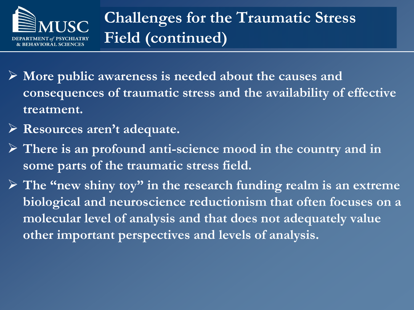

- **More public awareness is needed about the causes and consequences of traumatic stress and the availability of effective treatment.**
- **Resources aren't adequate.**
- **There is an profound anti-science mood in the country and in some parts of the traumatic stress field.**
- **The "new shiny toy" in the research funding realm is an extreme biological and neuroscience reductionism that often focuses on a molecular level of analysis and that does not adequately value other important perspectives and levels of analysis.**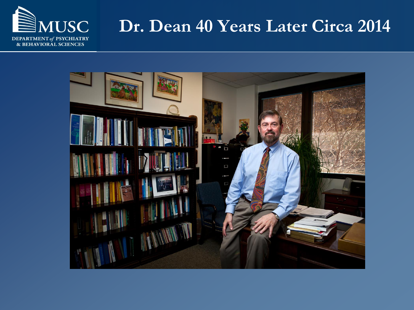

#### **Dr. Dean 40 Years Later Circa 2014**

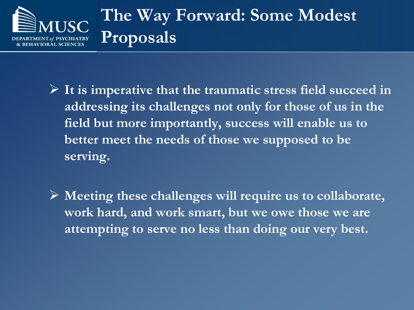

- **It is imperative that the traumatic stress field succeed in addressing its challenges not only for those of us in the field but more importantly, success will enable us to better meet the needs of those we supposed to be serving.**
- **Meeting these challenges will require us to collaborate, work hard, and work smart, but we owe those we are attempting to serve no less than doing our very best.**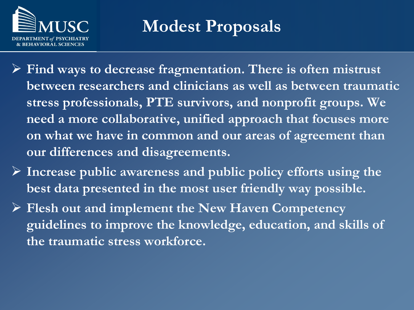

**Modest Proposals**

- **Find ways to decrease fragmentation. There is often mistrust between researchers and clinicians as well as between traumatic stress professionals, PTE survivors, and nonprofit groups. We need a more collaborative, unified approach that focuses more on what we have in common and our areas of agreement than our differences and disagreements.**
- **Increase public awareness and public policy efforts using the best data presented in the most user friendly way possible.**
- **Flesh out and implement the New Haven Competency guidelines to improve the knowledge, education, and skills of the traumatic stress workforce.**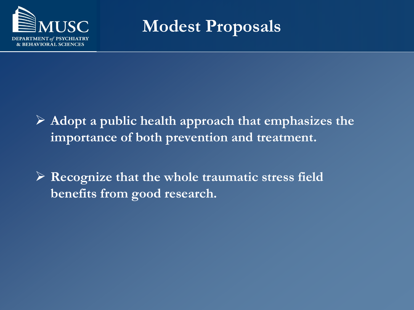

**Modest Proposals**

- **Adopt a public health approach that emphasizes the importance of both prevention and treatment.**
- **Recognize that the whole traumatic stress field benefits from good research.**